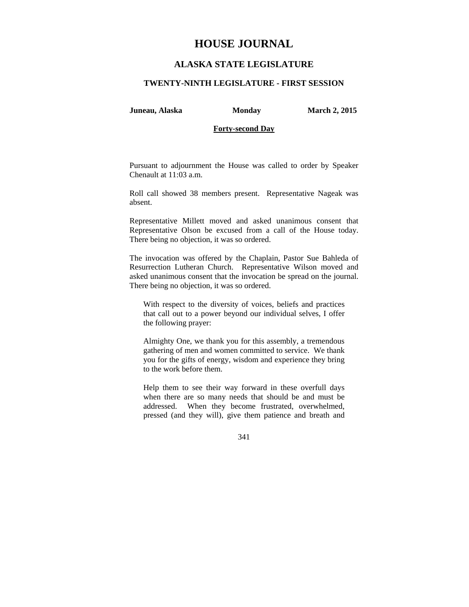# **HOUSE JOURNAL**

## **ALASKA STATE LEGISLATURE**

### **TWENTY-NINTH LEGISLATURE - FIRST SESSION**

**Juneau, Alaska Monday March 2, 2015** 

## **Forty-second Day**

Pursuant to adjournment the House was called to order by Speaker Chenault at 11:03 a.m.

Roll call showed 38 members present. Representative Nageak was absent.

Representative Millett moved and asked unanimous consent that Representative Olson be excused from a call of the House today. There being no objection, it was so ordered.

The invocation was offered by the Chaplain, Pastor Sue Bahleda of Resurrection Lutheran Church. Representative Wilson moved and asked unanimous consent that the invocation be spread on the journal. There being no objection, it was so ordered.

With respect to the diversity of voices, beliefs and practices that call out to a power beyond our individual selves, I offer the following prayer:

Almighty One, we thank you for this assembly, a tremendous gathering of men and women committed to service. We thank you for the gifts of energy, wisdom and experience they bring to the work before them.

Help them to see their way forward in these overfull days when there are so many needs that should be and must be addressed. When they become frustrated, overwhelmed, pressed (and they will), give them patience and breath and

341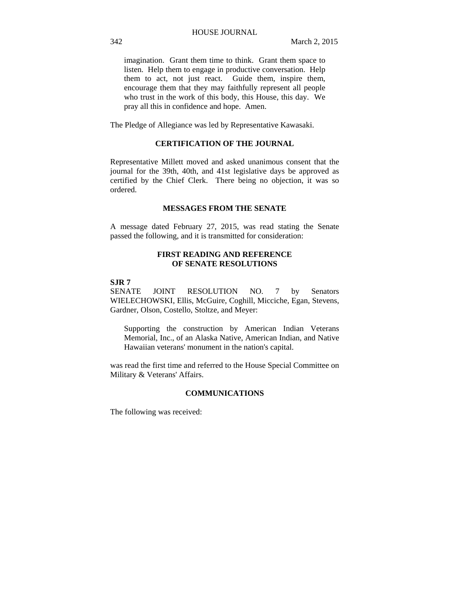imagination. Grant them time to think. Grant them space to listen. Help them to engage in productive conversation. Help them to act, not just react. Guide them, inspire them, encourage them that they may faithfully represent all people who trust in the work of this body, this House, this day. We pray all this in confidence and hope. Amen.

The Pledge of Allegiance was led by Representative Kawasaki.

## **CERTIFICATION OF THE JOURNAL**

Representative Millett moved and asked unanimous consent that the journal for the 39th, 40th, and 41st legislative days be approved as certified by the Chief Clerk. There being no objection, it was so ordered.

## **MESSAGES FROM THE SENATE**

A message dated February 27, 2015, was read stating the Senate passed the following, and it is transmitted for consideration:

## **FIRST READING AND REFERENCE OF SENATE RESOLUTIONS**

## **SJR 7**

SENATE JOINT RESOLUTION NO. 7 by Senators WIELECHOWSKI, Ellis, McGuire, Coghill, Micciche, Egan, Stevens, Gardner, Olson, Costello, Stoltze, and Meyer:

Supporting the construction by American Indian Veterans Memorial, Inc., of an Alaska Native, American Indian, and Native Hawaiian veterans' monument in the nation's capital.

was read the first time and referred to the House Special Committee on Military & Veterans' Affairs.

## **COMMUNICATIONS**

The following was received: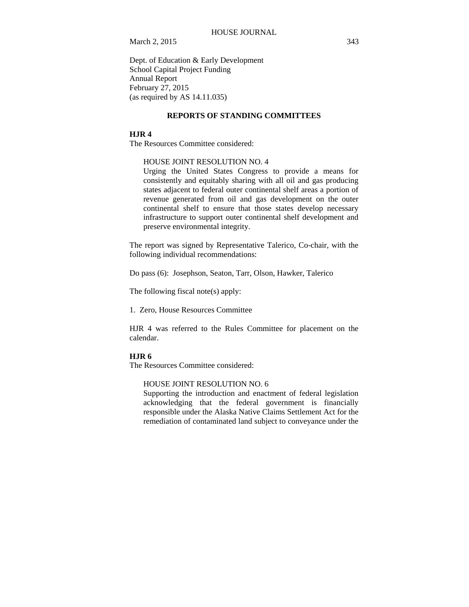Dept. of Education & Early Development School Capital Project Funding Annual Report February 27, 2015 (as required by AS 14.11.035)

## **REPORTS OF STANDING COMMITTEES**

### **HJR 4**

The Resources Committee considered:

#### HOUSE JOINT RESOLUTION NO. 4

Urging the United States Congress to provide a means for consistently and equitably sharing with all oil and gas producing states adjacent to federal outer continental shelf areas a portion of revenue generated from oil and gas development on the outer continental shelf to ensure that those states develop necessary infrastructure to support outer continental shelf development and preserve environmental integrity.

The report was signed by Representative Talerico, Co-chair, with the following individual recommendations:

Do pass (6): Josephson, Seaton, Tarr, Olson, Hawker, Talerico

The following fiscal note(s) apply:

1. Zero, House Resources Committee

HJR 4 was referred to the Rules Committee for placement on the calendar.

#### **HJR 6**

The Resources Committee considered:

## HOUSE JOINT RESOLUTION NO. 6

Supporting the introduction and enactment of federal legislation acknowledging that the federal government is financially responsible under the Alaska Native Claims Settlement Act for the remediation of contaminated land subject to conveyance under the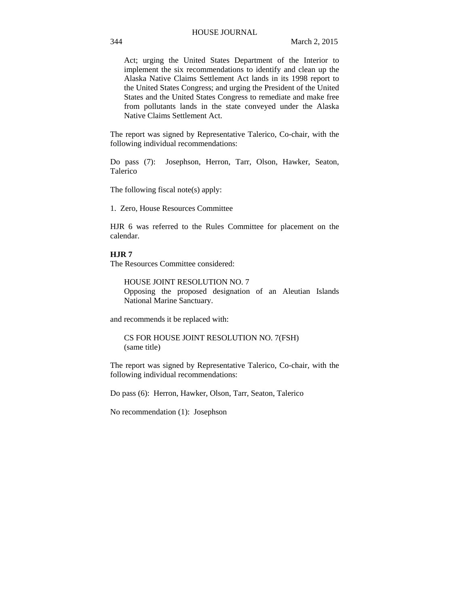Act; urging the United States Department of the Interior to implement the six recommendations to identify and clean up the Alaska Native Claims Settlement Act lands in its 1998 report to the United States Congress; and urging the President of the United States and the United States Congress to remediate and make free from pollutants lands in the state conveyed under the Alaska Native Claims Settlement Act.

The report was signed by Representative Talerico, Co-chair, with the following individual recommendations:

Do pass (7): Josephson, Herron, Tarr, Olson, Hawker, Seaton, Talerico

The following fiscal note(s) apply:

1. Zero, House Resources Committee

HJR 6 was referred to the Rules Committee for placement on the calendar.

## **HJR 7**

The Resources Committee considered:

HOUSE JOINT RESOLUTION NO. 7 Opposing the proposed designation of an Aleutian Islands National Marine Sanctuary.

and recommends it be replaced with:

CS FOR HOUSE JOINT RESOLUTION NO. 7(FSH) (same title)

The report was signed by Representative Talerico, Co-chair, with the following individual recommendations:

Do pass (6): Herron, Hawker, Olson, Tarr, Seaton, Talerico

No recommendation (1): Josephson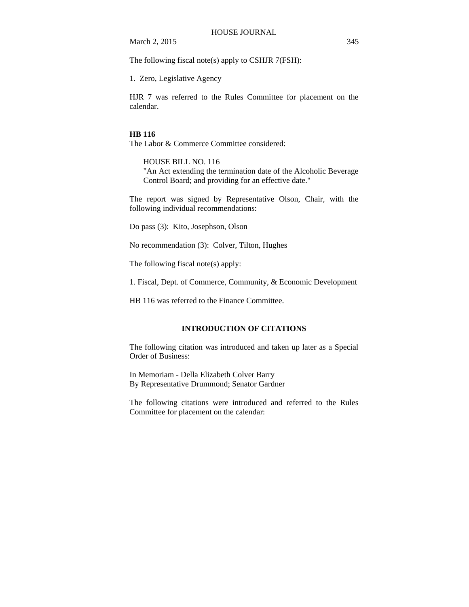The following fiscal note(s) apply to CSHJR 7(FSH):

1. Zero, Legislative Agency

HJR 7 was referred to the Rules Committee for placement on the calendar.

#### **HB 116**

The Labor & Commerce Committee considered:

HOUSE BILL NO. 116 "An Act extending the termination date of the Alcoholic Beverage Control Board; and providing for an effective date."

The report was signed by Representative Olson, Chair, with the following individual recommendations:

Do pass (3): Kito, Josephson, Olson

No recommendation (3): Colver, Tilton, Hughes

The following fiscal note(s) apply:

1. Fiscal, Dept. of Commerce, Community, & Economic Development

HB 116 was referred to the Finance Committee.

## **INTRODUCTION OF CITATIONS**

The following citation was introduced and taken up later as a Special Order of Business:

In Memoriam - Della Elizabeth Colver Barry By Representative Drummond; Senator Gardner

The following citations were introduced and referred to the Rules Committee for placement on the calendar: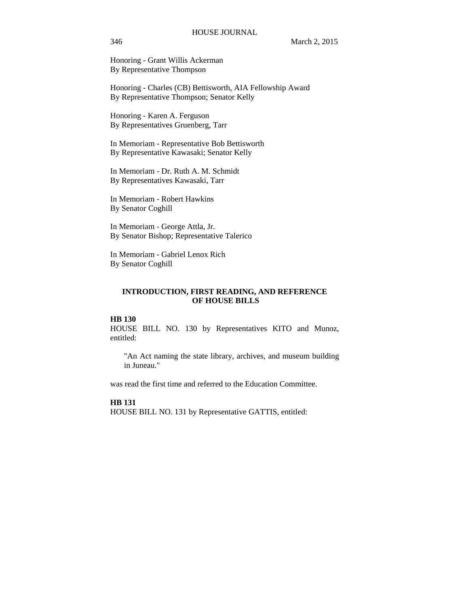Honoring - Grant Willis Ackerman By Representative Thompson

Honoring - Charles (CB) Bettisworth, AIA Fellowship Award By Representative Thompson; Senator Kelly

Honoring - Karen A. Ferguson By Representatives Gruenberg, Tarr

In Memoriam - Representative Bob Bettisworth By Representative Kawasaki; Senator Kelly

In Memoriam - Dr. Ruth A. M. Schmidt By Representatives Kawasaki, Tarr

In Memoriam - Robert Hawkins By Senator Coghill

In Memoriam - George Attla, Jr. By Senator Bishop; Representative Talerico

In Memoriam - Gabriel Lenox Rich By Senator Coghill

## **INTRODUCTION, FIRST READING, AND REFERENCE OF HOUSE BILLS**

## **HB 130**

HOUSE BILL NO. 130 by Representatives KITO and Munoz, entitled:

"An Act naming the state library, archives, and museum building in Juneau."

was read the first time and referred to the Education Committee.

**HB 131**

HOUSE BILL NO. 131 by Representative GATTIS, entitled: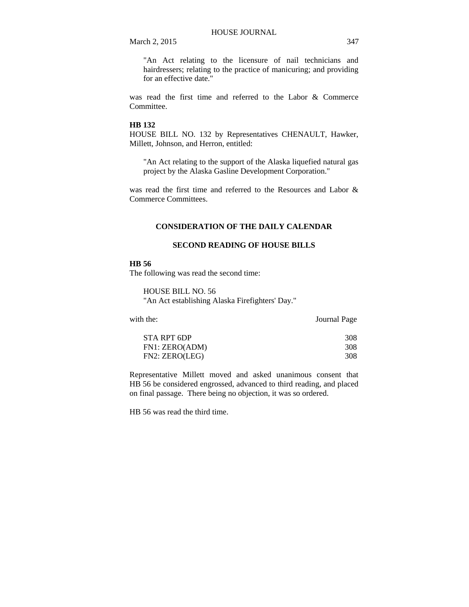"An Act relating to the licensure of nail technicians and hairdressers; relating to the practice of manicuring; and providing for an effective date."

was read the first time and referred to the Labor & Commerce Committee.

#### **HB 132**

HOUSE BILL NO. 132 by Representatives CHENAULT, Hawker, Millett, Johnson, and Herron, entitled:

"An Act relating to the support of the Alaska liquefied natural gas project by the Alaska Gasline Development Corporation."

was read the first time and referred to the Resources and Labor & Commerce Committees.

### **CONSIDERATION OF THE DAILY CALENDAR**

## **SECOND READING OF HOUSE BILLS**

#### **HB 56**

The following was read the second time:

HOUSE BILL NO. 56 "An Act establishing Alaska Firefighters' Day."

with the: Journal Page

| STA RPT 6DP    | 308 |
|----------------|-----|
| FN1: ZERO(ADM) | 308 |
| FN2: ZERO(LEG) | 308 |

Representative Millett moved and asked unanimous consent that HB 56 be considered engrossed, advanced to third reading, and placed on final passage. There being no objection, it was so ordered.

HB 56 was read the third time.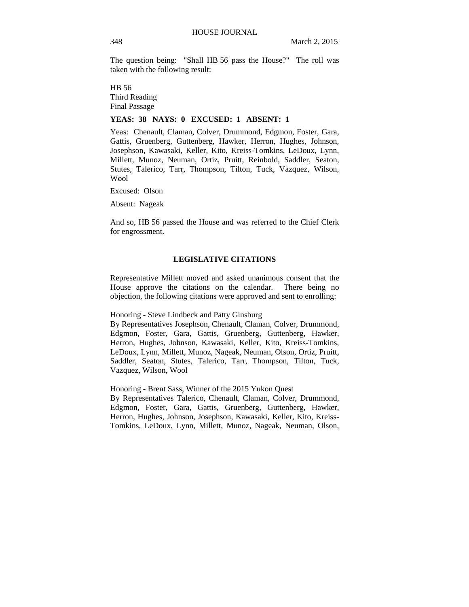The question being: "Shall HB 56 pass the House?" The roll was taken with the following result:

HB 56 Third Reading Final Passage

### **YEAS: 38 NAYS: 0 EXCUSED: 1 ABSENT: 1**

Yeas: Chenault, Claman, Colver, Drummond, Edgmon, Foster, Gara, Gattis, Gruenberg, Guttenberg, Hawker, Herron, Hughes, Johnson, Josephson, Kawasaki, Keller, Kito, Kreiss-Tomkins, LeDoux, Lynn, Millett, Munoz, Neuman, Ortiz, Pruitt, Reinbold, Saddler, Seaton, Stutes, Talerico, Tarr, Thompson, Tilton, Tuck, Vazquez, Wilson, Wool

Excused: Olson

Absent: Nageak

And so, HB 56 passed the House and was referred to the Chief Clerk for engrossment.

## **LEGISLATIVE CITATIONS**

Representative Millett moved and asked unanimous consent that the House approve the citations on the calendar. There being no objection, the following citations were approved and sent to enrolling:

Honoring - Steve Lindbeck and Patty Ginsburg

By Representatives Josephson, Chenault, Claman, Colver, Drummond, Edgmon, Foster, Gara, Gattis, Gruenberg, Guttenberg, Hawker, Herron, Hughes, Johnson, Kawasaki, Keller, Kito, Kreiss-Tomkins, LeDoux, Lynn, Millett, Munoz, Nageak, Neuman, Olson, Ortiz, Pruitt, Saddler, Seaton, Stutes, Talerico, Tarr, Thompson, Tilton, Tuck, Vazquez, Wilson, Wool

Honoring - Brent Sass, Winner of the 2015 Yukon Quest

By Representatives Talerico, Chenault, Claman, Colver, Drummond, Edgmon, Foster, Gara, Gattis, Gruenberg, Guttenberg, Hawker, Herron, Hughes, Johnson, Josephson, Kawasaki, Keller, Kito, Kreiss-Tomkins, LeDoux, Lynn, Millett, Munoz, Nageak, Neuman, Olson,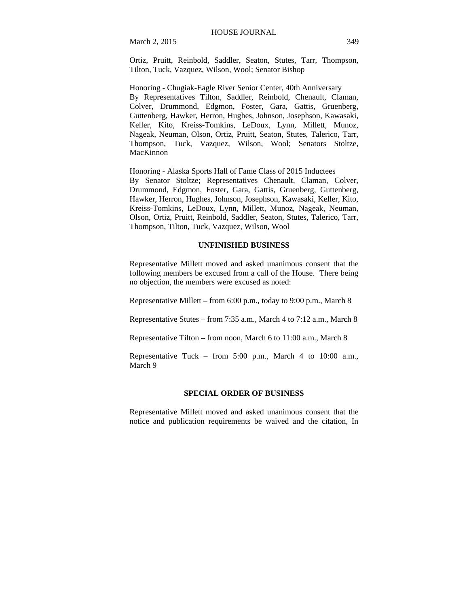Ortiz, Pruitt, Reinbold, Saddler, Seaton, Stutes, Tarr, Thompson, Tilton, Tuck, Vazquez, Wilson, Wool; Senator Bishop

Honoring - Chugiak-Eagle River Senior Center, 40th Anniversary By Representatives Tilton, Saddler, Reinbold, Chenault, Claman, Colver, Drummond, Edgmon, Foster, Gara, Gattis, Gruenberg, Guttenberg, Hawker, Herron, Hughes, Johnson, Josephson, Kawasaki, Keller, Kito, Kreiss-Tomkins, LeDoux, Lynn, Millett, Munoz, Nageak, Neuman, Olson, Ortiz, Pruitt, Seaton, Stutes, Talerico, Tarr, Thompson, Tuck, Vazquez, Wilson, Wool; Senators Stoltze, MacKinnon

Honoring - Alaska Sports Hall of Fame Class of 2015 Inductees By Senator Stoltze; Representatives Chenault, Claman, Colver, Drummond, Edgmon, Foster, Gara, Gattis, Gruenberg, Guttenberg, Hawker, Herron, Hughes, Johnson, Josephson, Kawasaki, Keller, Kito, Kreiss-Tomkins, LeDoux, Lynn, Millett, Munoz, Nageak, Neuman, Olson, Ortiz, Pruitt, Reinbold, Saddler, Seaton, Stutes, Talerico, Tarr, Thompson, Tilton, Tuck, Vazquez, Wilson, Wool

#### **UNFINISHED BUSINESS**

Representative Millett moved and asked unanimous consent that the following members be excused from a call of the House. There being no objection, the members were excused as noted:

Representative Millett – from 6:00 p.m., today to 9:00 p.m., March 8

Representative Stutes – from 7:35 a.m., March 4 to 7:12 a.m., March 8

Representative Tilton – from noon, March 6 to 11:00 a.m., March 8

Representative Tuck – from  $5:00$  p.m., March 4 to  $10:00$  a.m., March 9

#### **SPECIAL ORDER OF BUSINESS**

Representative Millett moved and asked unanimous consent that the notice and publication requirements be waived and the citation, In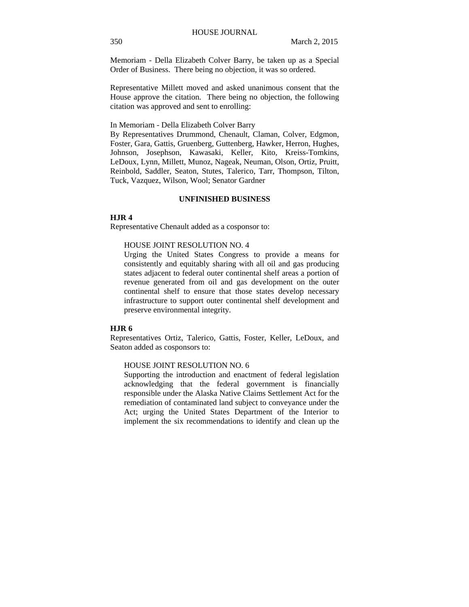Memoriam - Della Elizabeth Colver Barry, be taken up as a Special Order of Business. There being no objection, it was so ordered.

Representative Millett moved and asked unanimous consent that the House approve the citation. There being no objection, the following citation was approved and sent to enrolling:

#### In Memoriam - Della Elizabeth Colver Barry

By Representatives Drummond, Chenault, Claman, Colver, Edgmon, Foster, Gara, Gattis, Gruenberg, Guttenberg, Hawker, Herron, Hughes, Johnson, Josephson, Kawasaki, Keller, Kito, Kreiss-Tomkins, LeDoux, Lynn, Millett, Munoz, Nageak, Neuman, Olson, Ortiz, Pruitt, Reinbold, Saddler, Seaton, Stutes, Talerico, Tarr, Thompson, Tilton, Tuck, Vazquez, Wilson, Wool; Senator Gardner

## **UNFINISHED BUSINESS**

## **HJR 4**

Representative Chenault added as a cosponsor to:

#### HOUSE JOINT RESOLUTION NO. 4

Urging the United States Congress to provide a means for consistently and equitably sharing with all oil and gas producing states adjacent to federal outer continental shelf areas a portion of revenue generated from oil and gas development on the outer continental shelf to ensure that those states develop necessary infrastructure to support outer continental shelf development and preserve environmental integrity.

## **HJR 6**

Representatives Ortiz, Talerico, Gattis, Foster, Keller, LeDoux, and Seaton added as cosponsors to:

#### HOUSE JOINT RESOLUTION NO. 6

Supporting the introduction and enactment of federal legislation acknowledging that the federal government is financially responsible under the Alaska Native Claims Settlement Act for the remediation of contaminated land subject to conveyance under the Act; urging the United States Department of the Interior to implement the six recommendations to identify and clean up the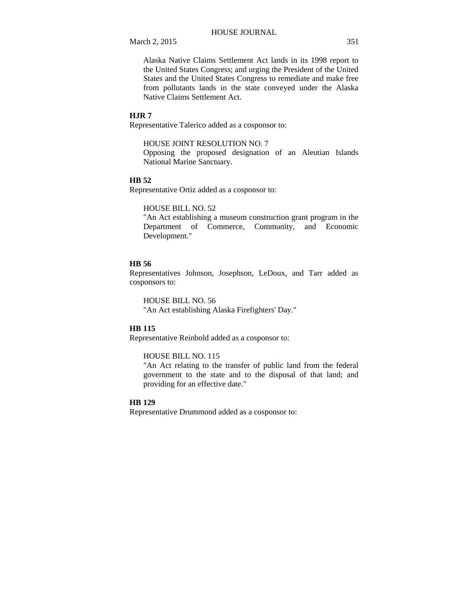Alaska Native Claims Settlement Act lands in its 1998 report to the United States Congress; and urging the President of the United States and the United States Congress to remediate and make free from pollutants lands in the state conveyed under the Alaska Native Claims Settlement Act.

## **HJR 7**

Representative Talerico added as a cosponsor to:

### HOUSE JOINT RESOLUTION NO. 7

Opposing the proposed designation of an Aleutian Islands National Marine Sanctuary.

## **HB 52**

Representative Ortiz added as a cosponsor to:

#### HOUSE BILL NO. 52

"An Act establishing a museum construction grant program in the Department of Commerce, Community, and Economic Development."

#### **HB 56**

Representatives Johnson, Josephson, LeDoux, and Tarr added as cosponsors to:

HOUSE BILL NO. 56 "An Act establishing Alaska Firefighters' Day."

## **HB 115**

Representative Reinbold added as a cosponsor to:

### HOUSE BILL NO. 115

"An Act relating to the transfer of public land from the federal government to the state and to the disposal of that land; and providing for an effective date."

## **HB 129**

Representative Drummond added as a cosponsor to: